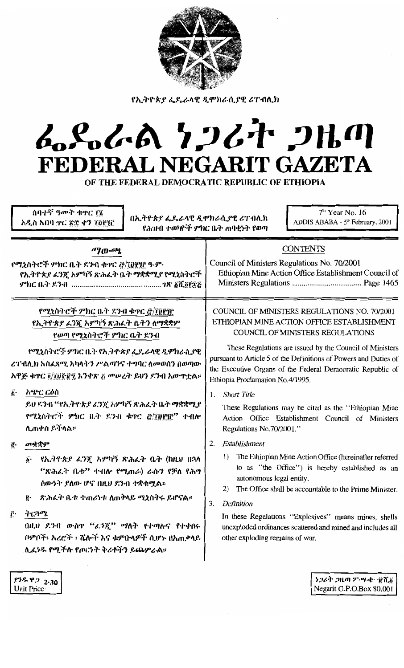

የኢትዮጵያ ፌዴራላዊ ዲሞክራሲያዊ ሪፐብሊክ

# ふらんめ クンびと クルの FEDERAL NEGARIT GAZETA

OF THE FEDERAL DEMOCRATIC REPUBLIC OF ETHIOPIA

ሰባተኛ ዓመት ቁጥር ፲፮ አዲስ አበባ . ኖር ፳፰ ቀን ፲፱፻፺፫

በኢትዮጵያ ፌዴራላዊ ዲሞክራሲያዊ ሪፐብሊክ የሕዝብ ተወካዮች ምክር ቤት ጠባቂነት የወጣ

 $7<sup>th</sup>$  Year No. 16 ADDIS ABABA - 5th February, 2001

| ማውጫ                                                                                                                                                                                                                                                                                                                                                          | <b>CONTENTS</b>                                                                                                                                                                                                                                                                                                                                                                                                                                                                                                                            |  |
|--------------------------------------------------------------------------------------------------------------------------------------------------------------------------------------------------------------------------------------------------------------------------------------------------------------------------------------------------------------|--------------------------------------------------------------------------------------------------------------------------------------------------------------------------------------------------------------------------------------------------------------------------------------------------------------------------------------------------------------------------------------------------------------------------------------------------------------------------------------------------------------------------------------------|--|
| የሚኒስትሮች ምክር ቤት ደንብ ቁጥር @/፲፬፻፺፫ ዓ.ም.                                                                                                                                                                                                                                                                                                                          | Council of Ministers Regulations No. 70/2001                                                                                                                                                                                                                                                                                                                                                                                                                                                                                               |  |
| የኢትዮጵያ ፊንጇ አምካኝ ጽሕፈት ቤት ማቋቋሚያ የሚኒስትሮች                                                                                                                                                                                                                                                                                                                        | Ethiopian Mine Action Office Establishment Council of                                                                                                                                                                                                                                                                                                                                                                                                                                                                                      |  |
|                                                                                                                                                                                                                                                                                                                                                              |                                                                                                                                                                                                                                                                                                                                                                                                                                                                                                                                            |  |
| የሚኒስትሮች ምክር ቤት ዶንብ ቁተር @/፲፱፻፺፫<br>የኢትዮጵያ ፈንጇ አምካኝ ጽሕፈት ቤትን ለማቋቋም<br>የወጣ የሚኒስትሮች ምክር ቤት ደንብ<br>የሚኒስትሮች ምክር ቤት የኢትዮጵያ ፌዴራላዊ ዲሞክራሲያዊ<br>ሪፐብሊክ አስፌጻሚ አካላትን ሥልጣንና ተግባር ለመወሰን በወጣው<br>አዋጅ ቁጥር ፬/፲፱፻፹፺ አንቀጽ ፫ መሠረት ይህን ደንብ አውጥቷል።<br>አጭር ርዕስ<br>$\hat{\mathbf{p}}$ .<br>ይህ ደንብ ''የኢትዮጵያ ፊንጂ አምካኝ ጽሕፈት ቤት ማቋቋሚያ<br>የሚኒስትሮች ምክር ቤት ደንብ ቁተር @/፲፱፻፺፫" ተብሎ<br>ሊጠቀስ ይችላል። | COUNCIL OF MINISTERS REGULATIONS NO. 70/2001<br>ETHIOPIAN MINE ACTION OFFICE ESTABLISHMENT<br>COUNCIL OF MINISTERS REGULATIONS<br>These Regulations are issued by the Council of Ministers<br>pursuant to Article 5 of the Definitions of Powers and Duties of<br>the Executive Organs of the Federal Democratic Republic of<br>Ethiopia Proclamation No.4/1995.<br><b>Short Title</b><br>$1_{-}$<br>These Regulations may be cited as the "Ethiopian Mine<br>Action Office Establishment Council of Ministers<br>Regulations No.70/2001." |  |
| መቋቋም                                                                                                                                                                                                                                                                                                                                                         | Establishment                                                                                                                                                                                                                                                                                                                                                                                                                                                                                                                              |  |
| ĝ.                                                                                                                                                                                                                                                                                                                                                           | 2.                                                                                                                                                                                                                                                                                                                                                                                                                                                                                                                                         |  |
| . የኢ <i>ትዮጵያ ፊን</i> ጃ አምካኝ ጽሕፌት ቤት (ከዚህ በኋላ                                                                                                                                                                                                                                                                                                                  | The Ethiopian Mine Action Office (hereinafter referred                                                                                                                                                                                                                                                                                                                                                                                                                                                                                     |  |
| $\ddot{\boldsymbol{b}}$ .                                                                                                                                                                                                                                                                                                                                    | 1)                                                                                                                                                                                                                                                                                                                                                                                                                                                                                                                                         |  |
| "ጽሕራት ቤቱ" ተብሎ የሚጠራ) ራሱን የቻለ የሕግ                                                                                                                                                                                                                                                                                                                              | to as "the Office") is hereby established as an                                                                                                                                                                                                                                                                                                                                                                                                                                                                                            |  |
| ሰውንት ያለው ሆኖ በዚህ ደንብ ተቋቁሟል።                                                                                                                                                                                                                                                                                                                                   | autonomous legal entity.                                                                                                                                                                                                                                                                                                                                                                                                                                                                                                                   |  |
| ጽሕራት ቤቱ ተጠሪነቱ ለጠቅላይ ሚኒስተሩ ይሆናል።                                                                                                                                                                                                                                                                                                                              | The Office shall be accountable to the Prime Minister.                                                                                                                                                                                                                                                                                                                                                                                                                                                                                     |  |
| ĝ.                                                                                                                                                                                                                                                                                                                                                           | 2)                                                                                                                                                                                                                                                                                                                                                                                                                                                                                                                                         |  |
| ትርጓሜ                                                                                                                                                                                                                                                                                                                                                         | Definition                                                                                                                                                                                                                                                                                                                                                                                                                                                                                                                                 |  |
| Ļ.                                                                                                                                                                                                                                                                                                                                                           | 3.                                                                                                                                                                                                                                                                                                                                                                                                                                                                                                                                         |  |
| በዚህ ደንብ ውስዋ "ፊንኟ" ማለት የተጣሉና የተቀበሩ                                                                                                                                                                                                                                                                                                                            | In these Regulations "Explosives" means mines, shells                                                                                                                                                                                                                                                                                                                                                                                                                                                                                      |  |
| ቦምቦች፡ አረሮች ፡ ሼሎች እና ቁምቡላዎች ሲሆኑ በአጠቃላይ                                                                                                                                                                                                                                                                                                                        | unexploded ordinances scattered and mined and includes all                                                                                                                                                                                                                                                                                                                                                                                                                                                                                 |  |
| ሊፌነዱ የሚችሉ የጦርነት ቅሪቶችን ይጨምራል።                                                                                                                                                                                                                                                                                                                                 | other exploding remains of war.                                                                                                                                                                                                                                                                                                                                                                                                                                                                                                            |  |
| P3.8 P2 2.30                                                                                                                                                                                                                                                                                                                                                 | ነጋሪት ጋዜጣ ፖ ሣ ቀ ብርል                                                                                                                                                                                                                                                                                                                                                                                                                                                                                                                         |  |
| <b>Unit Price</b>                                                                                                                                                                                                                                                                                                                                            | Negarit G.P.O.Box 80,001                                                                                                                                                                                                                                                                                                                                                                                                                                                                                                                   |  |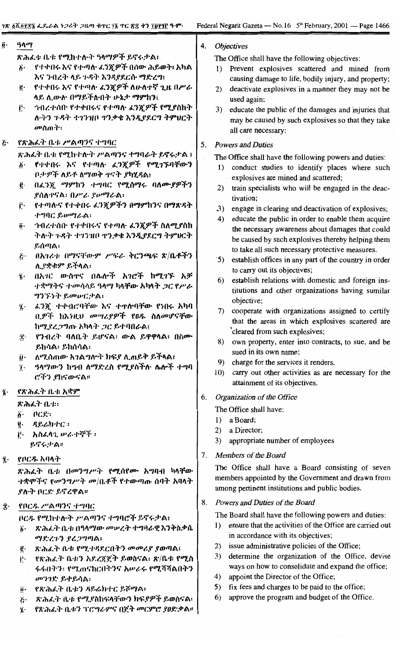| ĝ٠ | ዓላማ                                                                                                                                                                                                                                                                                                                                                                                                                                                                                                                                                                                                                                                                                                                                                                                                                                | <b>Objectives</b><br>4.                                                                                                                                                                                                                                                                                                                                                                                                                                                                                                                                                                                                                                                                                                                                                                                                                                                                                                                                                                                                                                                                                                                                                        |
|----|------------------------------------------------------------------------------------------------------------------------------------------------------------------------------------------------------------------------------------------------------------------------------------------------------------------------------------------------------------------------------------------------------------------------------------------------------------------------------------------------------------------------------------------------------------------------------------------------------------------------------------------------------------------------------------------------------------------------------------------------------------------------------------------------------------------------------------|--------------------------------------------------------------------------------------------------------------------------------------------------------------------------------------------------------------------------------------------------------------------------------------------------------------------------------------------------------------------------------------------------------------------------------------------------------------------------------------------------------------------------------------------------------------------------------------------------------------------------------------------------------------------------------------------------------------------------------------------------------------------------------------------------------------------------------------------------------------------------------------------------------------------------------------------------------------------------------------------------------------------------------------------------------------------------------------------------------------------------------------------------------------------------------|
|    | ጽሕፌቱ ቤቱ የሚከተሉት ዓላማዎች ይኖሩታል፤<br>የተቀበሩ እና የተጣሉ ፊንጂዎች በሰው ሕይወት፣ አካል<br>$\delta$ .<br>እና ንብረት ላይ ጉዳት እንዳያደርሱ ማድረግ፤<br>የተቀበሩ እና የተጣሉ ፊንጇዎች ለሁለተኛ ጊዜ በሥራ<br>ë.<br>ላይ ሊውሉ በማይችሉበት ሁኔታ ማምከን፤<br>ኅብረተሰቡ የተቀበሩና የተጣሉ ፈንጇዎች የሚያስከት<br>ŗ٠<br>ሉትን ጉዳት ተገንዝቦ ተንቃቄ እንዲያደርግ ትምሀርት<br>መስጠተ፡                                                                                                                                                                                                                                                                                                                                                                                                                                                                                                                                                         | The Office shall have the following objectives:<br>1) Prevent explosives scattered and mined from<br>causing damage to life, bodily injury, and property;<br>2)<br>deactivate explosives in a manner they may not be<br>used again;<br>3)<br>educate the public of the damages and injuries that<br>may be caused by such explosives so that they take<br>all care necessary:                                                                                                                                                                                                                                                                                                                                                                                                                                                                                                                                                                                                                                                                                                                                                                                                  |
| Į٠ | የጽሕራት ቤቱ ሥልጣንና ተግባር<br>ጽሕፌት ቤቱ የሚከተሉት ሥልጣንና ተግባራት ይኖሩታል ፤<br>የተቀበሩ እና የተጣሉ ፈን፳ዎች የሚገኙባቸውን<br>ő٠<br>ቦታዎች ለይቶ ለማወቅ ዋናት ያካሂዳል፤<br>በፈንጇ ማምከን ተግባር የሚሰማሩ ባለሙያዎችን<br>ĝ.<br><b>የሰለ</b> ዋናል፡ በሥራ ያሥማራል፡<br>የተጣሉና የተቀበሩ ፈንጇዎችን በማምከንና በማጽዳት<br>ŕ٠<br>ተግባር ይሥማራል፡<br><i>ኅብረተሰ</i> ቡ የተቀበሩና የተጣሉ ፈንጇዎች ስለሚያስከ<br>$\ddot{\bm{\theta}}$ .<br>ትሉት ጉዳት ተገንዝቦ ተንቃቄ እንዲያደርግ ትምሀርት<br>ይሰጣል፡<br>በአገሪቱ በማናቸውም ሥፍራ ቅርንጫፍ ጽ/ቤቶችን<br>Ï٠<br>ሊ.የቋቁም ይችላል፡<br>በአገር ውስተና በሌሎች አገሮች ከሚገኙ አቻ<br>$\tilde{\mathbf{z}}$ .<br>ተቋማትና ተመሳሳይ ዓላማ ካላቸው አካላት <i>ጋ</i> ር የሥራ<br>ግንኙነት ይመሥርታል፡<br>ፈንጇ ተቀብሮባቸው እና ተዋሎባቸው የነበሩ አካባ<br>ï.<br>ቢዎች ከእንዚህ መሣሪያዎች የዐዱ ስለመሆናቸው<br>ከሚደረጋግጡ አካላት ጋር ይተባበራል፤<br>የንብረት ባለቤት ይሆናል፣ ውል ይዋዋላል፣ በስሙ<br>ï٠<br>ይከሳል፡ ይከሰሳል፡<br>ለሚሰጠው አገልግሎተ ክፍያ ሊጠይቅ ይችላል፤<br>ij٠<br>ዓላማውን ከግብ ለማድረስ የሚያስችሉ ሌሎች ተግባ<br>$\dddot{\mathbf{r}}$ .<br>ሮችን ያከናውናል። | <b>Powers and Duties</b><br>5.<br>The Office shall have the following powers and duties:<br>conduct studies to identify places where such<br>1)<br>explosives are mined and scattered;<br>train specialists who will be engaged in the deac-<br>2)<br>tivation;<br>3)<br>engage in clearing and deactivation of explosives;<br>educate the public in order to enable them acquire<br>4)<br>the necessary awareness about damages that could<br>be caused by such explosives thereby helping them<br>to take all such necessary protective measures.<br>establish offices in any part of the country in order<br>$\mathfrak{S}$ )<br>to carry out its objectives;<br>establish relations with domestic and foreign ins-<br>6)<br>titutions and other organizations having sumilar<br>objective;<br>cooperate with organizations assigned to certify<br>7)<br>that the areas in which explosives scattered are<br>cleared from such explosives;<br>own property, enter into contracts, to sue, and be<br>8)<br>sued in its own name;<br>charge for the services it renders.<br>9)<br>carry out other activities as are necessary for the<br>10)<br>attainment of its objectives. |
| ĵ٠ | የጽሕፈት ቤቱ አቋም<br>ጽሕፈት ቤቱ።<br>ACR<br>$\ddot{\bm{\delta}}$ .<br>ዳይሬክተር ፡<br>ĝ.<br>አስራላጊ ሥራተኞች ፡<br>ŕ٠<br>ይኖሩታል።                                                                                                                                                                                                                                                                                                                                                                                                                                                                                                                                                                                                                                                                                                                       | Organization of the Office<br>6.<br>The Office shall have:<br>a Board;<br>$\Gamma$<br>a Director;<br>2)<br>appropriate number of employees<br>3)                                                                                                                                                                                                                                                                                                                                                                                                                                                                                                                                                                                                                                                                                                                                                                                                                                                                                                                                                                                                                               |
| ą. | የቦርዱ አባላት<br>ጽሕፈት ቤቱ በመንግሥት የሚሰየሙ አግባብ ካላቸው<br><i>ተቋሞችና የመንግሥት መ </i> ቤቶች የተውጣጡ ሰባት አባላት<br><i>ያ</i> ሎት ቦርድ ይኖረዋል፡፡                                                                                                                                                                                                                                                                                                                                                                                                                                                                                                                                                                                                                                                                                                                | Members of the Board<br>7.<br>The Office shall have a Board consisting of seven<br>members appointed by the Government and drawn from<br>among pertinent institutions and public bodies.                                                                                                                                                                                                                                                                                                                                                                                                                                                                                                                                                                                                                                                                                                                                                                                                                                                                                                                                                                                       |
| Î۰ | የቦርዱ ሥልጣንና ተግባር<br>ቦርዱ የሚከተሉት ሥልጣንና ተግባሮች ይኖሩታል፤<br>ጽሕራት ቤቱ በዓላማው መሥረት ተግባራዊ እንቅስቃሴ<br>$\vec{b}$ .<br>ማድረጉን ያረጋግጣል፡<br>ጽሕፈት ቤቱ የሚተዳደርበትን መመሪያ ያወጣል፤<br>ĝ.<br>የጽሕራት ቤቱን አደረጃጀት ይወስናል፥ ጽ/ቤቱ የሚስ<br>Ë٠<br>ፋፋበትን፡ የሚጠናከርበትንና አሥራሩ የሚሻሻልበትን<br>መንገድ ይቀይሳል፡<br>የጽሕፈት ቤቱን ዳይሬክተር ይሾማል፡<br>$\ddot{\theta}$ .<br>ጽሕፈት ቤቱ የሚያስከፍላቸውን ክፍያዎች ይወስናል፣<br>$\ddot{\mathcal{L}}$<br>የጽሕፈት ቤቱን ፕሮግራምና በጀት መርምሮ ያወድቃል።<br>$\mathbf{z}$                                                                                                                                                                                                                                                                                                                                                                                                                | Powers and Duties of the Board<br>8.<br>The Board shall have the following powers and duties:<br>ensure that the activities of the Office are carried out<br>$\left  \cdot \right $<br>in accordance with its objectives;<br>2) issue administrative policies of the Office;<br>determine the organization of the Office, devise<br>3)<br>ways on how to consolidate and expand the office;<br>appoint the Director of the Office;<br>4)<br>fix fees and charges to be paid to the office;<br>5)<br>approve the program and budget of the Office.<br>6)                                                                                                                                                                                                                                                                                                                                                                                                                                                                                                                                                                                                                        |